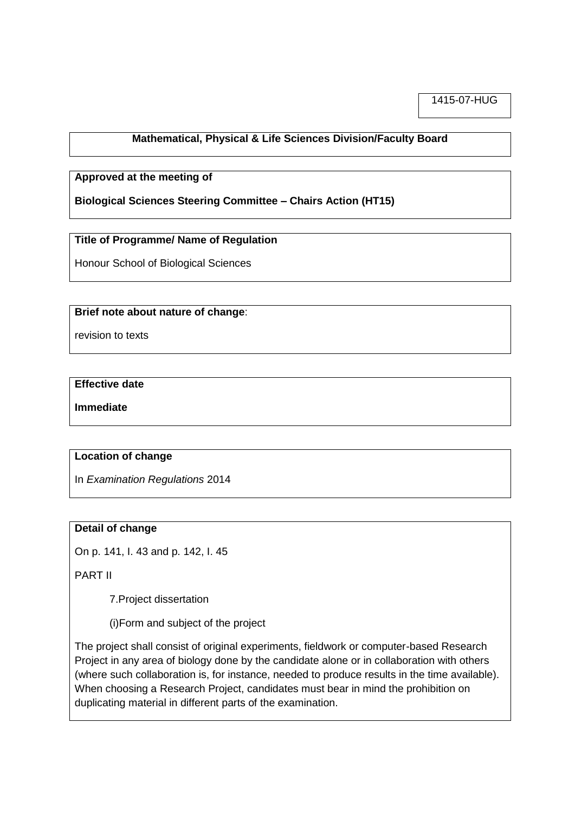1415-07-HUG

## **Mathematical, Physical & Life Sciences Division/Faculty Board**

### **Approved at the meeting of**

**Biological Sciences Steering Committee – Chairs Action (HT15)**

## **Title of Programme/ Name of Regulation**

Honour School of Biological Sciences

#### **Brief note about nature of change**:

revision to texts

#### **Effective date**

**Immediate**

#### **Location of change**

In *Examination Regulations* 2014

#### **Detail of change**

On p. 141, I. 43 and p. 142, I. 45

PART II

7.Project dissertation

(i)Form and subject of the project

The project shall consist of original experiments, fieldwork or computer-based Research Project in any area of biology done by the candidate alone or in collaboration with others (where such collaboration is, for instance, needed to produce results in the time available). When choosing a Research Project, candidates must bear in mind the prohibition on duplicating material in different parts of the examination.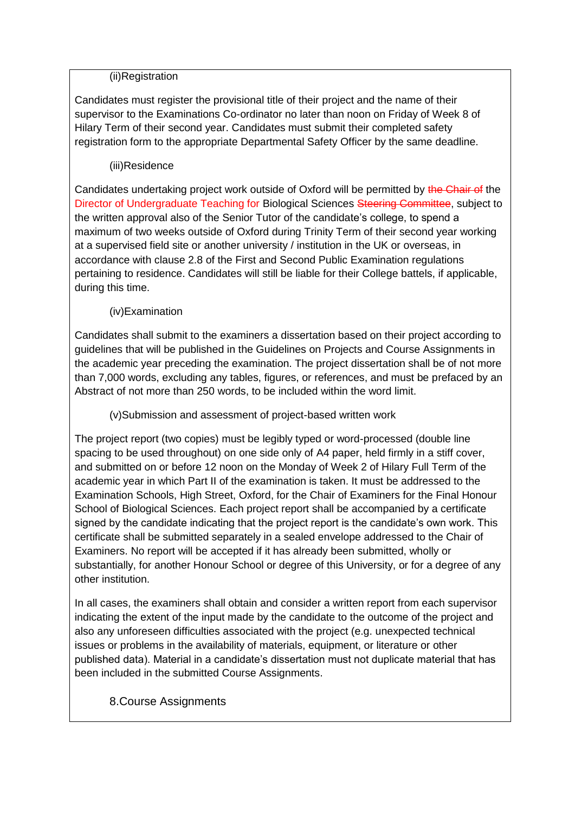## (ii)Registration

Candidates must register the provisional title of their project and the name of their supervisor to the Examinations Co-ordinator no later than noon on Friday of Week 8 of Hilary Term of their second year. Candidates must submit their completed safety registration form to the appropriate Departmental Safety Officer by the same deadline.

## (iii)Residence

Candidates undertaking project work outside of Oxford will be permitted by the Chair of the Director of Undergraduate Teaching for Biological Sciences Steering Committee, subject to the written approval also of the Senior Tutor of the candidate's college, to spend a maximum of two weeks outside of Oxford during Trinity Term of their second year working at a supervised field site or another university / institution in the UK or overseas, in accordance with clause 2.8 of the First and Second Public Examination regulations pertaining to residence. Candidates will still be liable for their College battels, if applicable, during this time.

## (iv)Examination

Candidates shall submit to the examiners a dissertation based on their project according to guidelines that will be published in the Guidelines on Projects and Course Assignments in the academic year preceding the examination. The project dissertation shall be of not more than 7,000 words, excluding any tables, figures, or references, and must be prefaced by an Abstract of not more than 250 words, to be included within the word limit.

(v)Submission and assessment of project-based written work

The project report (two copies) must be legibly typed or word-processed (double line spacing to be used throughout) on one side only of A4 paper, held firmly in a stiff cover, and submitted on or before 12 noon on the Monday of Week 2 of Hilary Full Term of the academic year in which Part II of the examination is taken. It must be addressed to the Examination Schools, High Street, Oxford, for the Chair of Examiners for the Final Honour School of Biological Sciences. Each project report shall be accompanied by a certificate signed by the candidate indicating that the project report is the candidate's own work. This certificate shall be submitted separately in a sealed envelope addressed to the Chair of Examiners. No report will be accepted if it has already been submitted, wholly or substantially, for another Honour School or degree of this University, or for a degree of any other institution.

In all cases, the examiners shall obtain and consider a written report from each supervisor indicating the extent of the input made by the candidate to the outcome of the project and also any unforeseen difficulties associated with the project (e.g. unexpected technical issues or problems in the availability of materials, equipment, or literature or other published data). Material in a candidate's dissertation must not duplicate material that has been included in the submitted Course Assignments.

# 8.Course Assignments